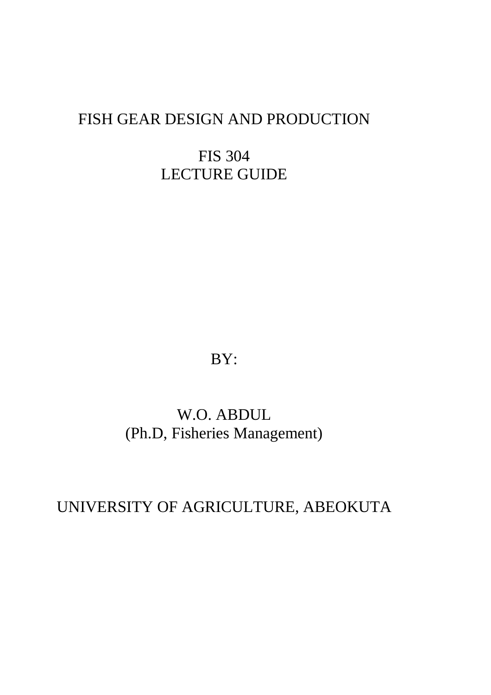## FISH GEAR DESIGN AND PRODUCTION

FIS 304 LECTURE GUIDE

BY:

# W.O. ABDUL (Ph.D, Fisheries Management)

## UNIVERSITY OF AGRICULTURE, ABEOKUTA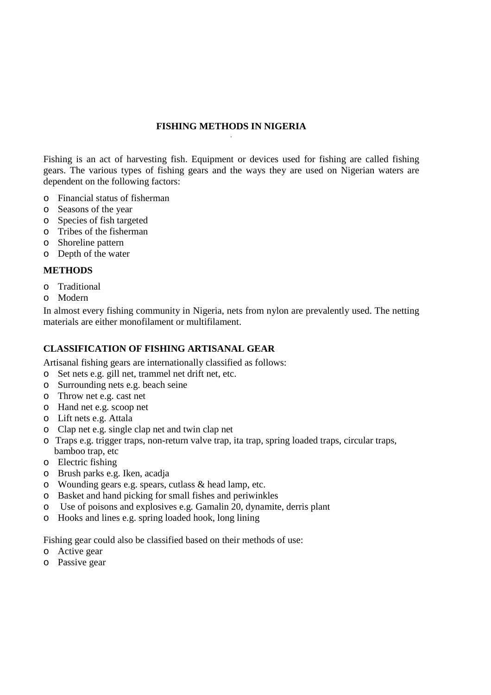#### **FISHING METHODS IN NIGERIA**  .

Fishing is an act of harvesting fish. Equipment or devices used for fishing are called fishing gears. The various types of fishing gears and the ways they are used on Nigerian waters are dependent on the following factors:

- o Financial status of fisherman
- o Seasons of the year
- o Species of fish targeted
- o Tribes of the fisherman
- o Shoreline pattern
- o Depth of the water

#### **METHODS**

- o Traditional
- o Modern

In almost every fishing community in Nigeria, nets from nylon are prevalently used. The netting materials are either monofilament or multifilament.

### **CLASSIFICATION OF FISHING ARTISANAL GEAR**

Artisanal fishing gears are internationally classified as follows:

- o Set nets e.g. gill net, trammel net drift net, etc.
- o Surrounding nets e.g. beach seine
- o Throw net e.g. cast net
- o Hand net e.g. scoop net
- o Lift nets e.g. Attala
- o Clap net e.g. single clap net and twin clap net
- o Traps e.g. trigger traps, non-return valve trap, ita trap, spring loaded traps, circular traps, bamboo trap, etc
- o Electric fishing
- o Brush parks e.g. Iken, acadja
- o Wounding gears e.g. spears, cutlass & head lamp, etc.
- o Basket and hand picking for small fishes and periwinkles
- o Use of poisons and explosives e.g. Gamalin 20, dynamite, derris plant
- o Hooks and lines e.g. spring loaded hook, long lining

Fishing gear could also be classified based on their methods of use:

- o Active gear
- o Passive gear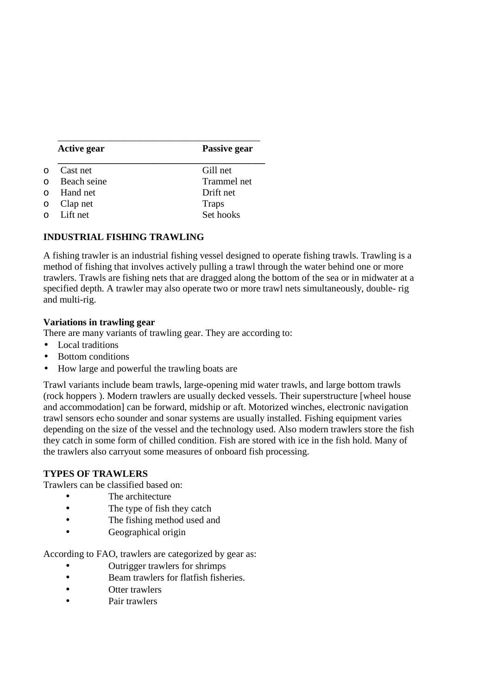| <b>Active gear</b> | Passive gear |
|--------------------|--------------|
| Cast net           | Gill net     |
| Beach seine        | Trammel net  |
| $\circ$ Hand net   | Drift net    |
| $\circ$ Clap net   | <b>Traps</b> |
| $\circ$ Lift net   | Set hooks    |

#### **INDUSTRIAL FISHING TRAWLING**

A fishing trawler is an industrial fishing vessel designed to operate fishing trawls. Trawling is a method of fishing that involves actively pulling a trawl through the water behind one or more trawlers. Trawls are fishing nets that are dragged along the bottom of the sea or in midwater at a specified depth. A trawler may also operate two or more trawl nets simultaneously, double- rig and multi-rig.

### **Variations in trawling gear**

There are many variants of trawling gear. They are according to:

- Local traditions
- Bottom conditions
- How large and powerful the trawling boats are

Trawl variants include beam trawls, large-opening mid water trawls, and large bottom trawls (rock hoppers ). Modern trawlers are usually decked vessels. Their superstructure [wheel house and accommodation] can be forward, midship or aft. Motorized winches, electronic navigation trawl sensors echo sounder and sonar systems are usually installed. Fishing equipment varies depending on the size of the vessel and the technology used. Also modern trawlers store the fish they catch in some form of chilled condition. Fish are stored with ice in the fish hold. Many of the trawlers also carryout some measures of onboard fish processing.

#### **TYPES OF TRAWLERS**

Trawlers can be classified based on:

- The architecture
- The type of fish they catch
- The fishing method used and
- Geographical origin

According to FAO, trawlers are categorized by gear as:

- Outrigger trawlers for shrimps
- Beam trawlers for flatfish fisheries.
- Otter trawlers
- Pair trawlers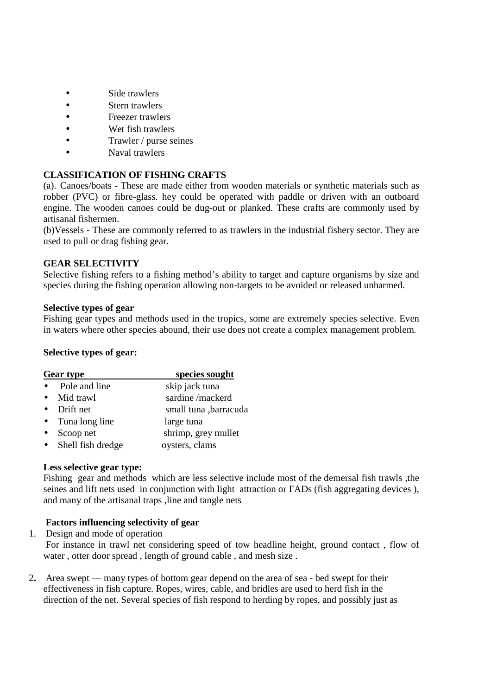- Side trawlers
- Stern trawlers
- Freezer trawlers
- Wet fish trawlers
- Trawler / purse seines
- Naval trawlers

### **CLASSIFICATION OF FISHING CRAFTS**

(a). Canoes/boats - These are made either from wooden materials or synthetic materials such as robber (PVC) or fibre-glass. hey could be operated with paddle or driven with an outboard engine. The wooden canoes could be dug-out or planked. These crafts are commonly used by artisanal fishermen.

(b)Vessels - These are commonly referred to as trawlers in the industrial fishery sector. They are used to pull or drag fishing gear.

#### **GEAR SELECTIVITY**

Selective fishing refers to a fishing method's ability to target and capture organisms by size and species during the fishing operation allowing non-targets to be avoided or released unharmed.

#### **Selective types of gear**

Fishing gear types and methods used in the tropics, some are extremely species selective. Even in waters where other species abound, their use does not create a complex management problem.

#### **Selective types of gear:**

| <b>Gear type</b>           | species sought        |
|----------------------------|-----------------------|
| Pole and line<br>$\bullet$ | skip jack tuna        |
| • Mid trawl                | sardine/mackerd       |
| $\bullet$ Drift net        | small tuna ,barracuda |
| • Tuna long line           | large tuna            |
| Scoop net<br>$\bullet$     | shrimp, grey mullet   |
| • Shell fish dredge        | oysters, clams        |

#### **Less selective gear type:**

Fishing gear and methods which are less selective include most of the demersal fish trawls ,the seines and lift nets used in conjunction with light attraction or FADs (fish aggregating devices ), and many of the artisanal traps ,line and tangle nets

### **Factors influencing selectivity of gear**

1. Design and mode of operation

 For instance in trawl net considering speed of tow headline height, ground contact , flow of water , otter door spread , length of ground cable , and mesh size .

2**.** Area swept –– many types of bottom gear depend on the area of sea - bed swept for their effectiveness in fish capture. Ropes, wires, cable, and bridles are used to herd fish in the direction of the net. Several species of fish respond to herding by ropes, and possibly just as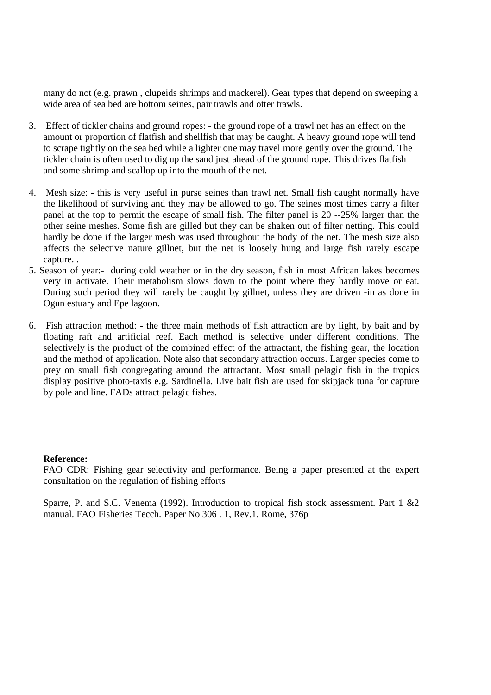many do not (e.g. prawn , clupeids shrimps and mackerel). Gear types that depend on sweeping a wide area of sea bed are bottom seines, pair trawls and otter trawls.

- 3. Effect of tickler chains and ground ropes: the ground rope of a trawl net has an effect on the amount or proportion of flatfish and shellfish that may be caught. A heavy ground rope will tend to scrape tightly on the sea bed while a lighter one may travel more gently over the ground. The tickler chain is often used to dig up the sand just ahead of the ground rope. This drives flatfish and some shrimp and scallop up into the mouth of the net.
- 4. Mesh size: **-** this is very useful in purse seines than trawl net. Small fish caught normally have the likelihood of surviving and they may be allowed to go. The seines most times carry a filter panel at the top to permit the escape of small fish. The filter panel is 20 --25% larger than the other seine meshes. Some fish are gilled but they can be shaken out of filter netting. This could hardly be done if the larger mesh was used throughout the body of the net. The mesh size also affects the selective nature gillnet, but the net is loosely hung and large fish rarely escape capture. .
- 5. Season of year:- during cold weather or in the dry season, fish in most African lakes becomes very in activate. Their metabolism slows down to the point where they hardly move or eat. During such period they will rarely be caught by gillnet, unless they are driven -in as done in Ogun estuary and Epe lagoon.
- 6. Fish attraction method: **-** the three main methods of fish attraction are by light, by bait and by floating raft and artificial reef. Each method is selective under different conditions. The selectively is the product of the combined effect of the attractant, the fishing gear, the location and the method of application. Note also that secondary attraction occurs. Larger species come to prey on small fish congregating around the attractant. Most small pelagic fish in the tropics display positive photo-taxis e.g. Sardinella. Live bait fish are used for skipjack tuna for capture by pole and line. FADs attract pelagic fishes.

#### **Reference:**

FAO CDR: Fishing gear selectivity and performance. Being a paper presented at the expert consultation on the regulation of fishing efforts

Sparre, P. and S.C. Venema (1992). Introduction to tropical fish stock assessment. Part 1 &2 manual. FAO Fisheries Tecch. Paper No 306 . 1, Rev.1. Rome, 376p